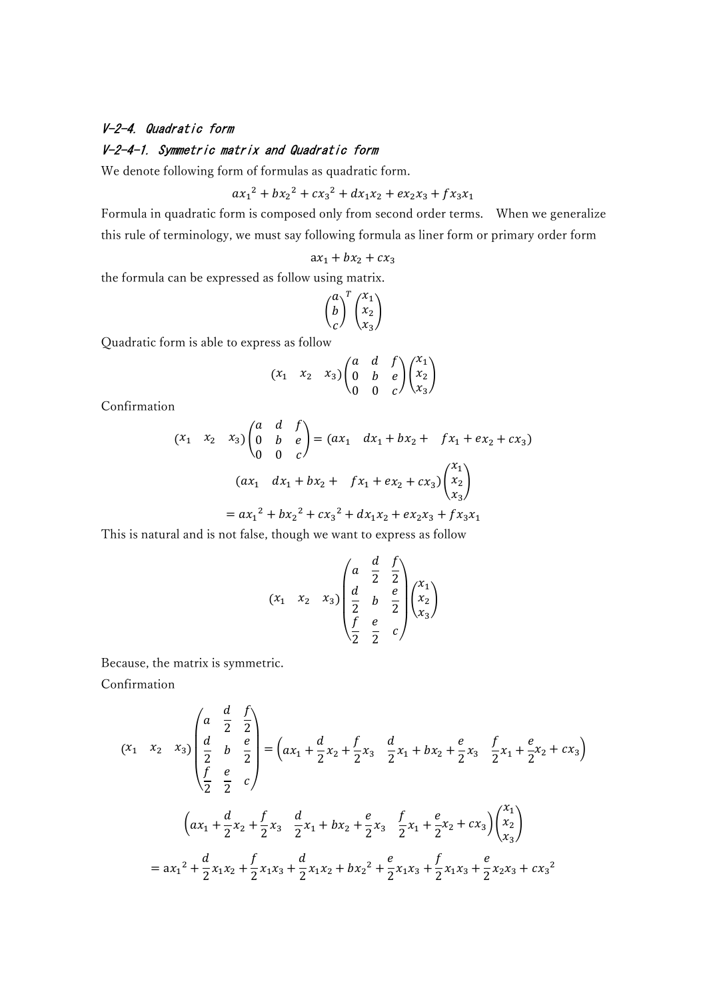## V-2-4. Quadratic form

## V-2-4-1. Symmetric matrix and Quadratic form

We denote following form of formulas as quadratic form.

$$
ax_1^2 + bx_2^2 + cx_3^2 + dx_1x_2 + ex_2x_3 + fx_3x_1
$$

Formula in quadratic form is composed only from second order terms. When we generalize this rule of terminology, we must say following formula as liner form or primary order form

$$
ax_1 + bx_2 + cx_3
$$

the formula can be expressed as follow using matrix.

$$
\binom{a}{c}^T \binom{x_1}{x_2}
$$

Quadratic form is able to express as follow

$$
(x_1 \ x_2 \ x_3) \begin{pmatrix} a & d & f \\ 0 & b & e \\ 0 & 0 & c \end{pmatrix} \begin{pmatrix} x_1 \\ x_2 \\ x_3 \end{pmatrix}
$$

Confirmation

$$
(x_1 \quad x_2 \quad x_3) \begin{pmatrix} a & d & f \\ 0 & b & e \\ 0 & 0 & c \end{pmatrix} = (ax_1 \quad dx_1 + bx_2 + fx_1 + ex_2 + cx_3)
$$

$$
(ax_1 \quad dx_1 + bx_2 + fx_1 + ex_2 + cx_3) \begin{pmatrix} x_1 \\ x_2 \\ x_3 \end{pmatrix}
$$

$$
= ax_1^2 + bx_2^2 + cx_3^2 + dx_1x_2 + ex_2x_3 + fx_3x_1
$$

This is natural and is not false, though we want to express as follow

$$
(x_1 \ x_2 \ x_3)
$$

$$
\begin{pmatrix} a & \frac{d}{2} & \frac{f}{2} \\ \frac{d}{2} & b & \frac{e}{2} \\ \frac{f}{2} & \frac{e}{2} & c \end{pmatrix} \begin{pmatrix} x_1 \\ x_2 \\ x_3 \end{pmatrix}
$$

Because, the matrix is symmetric.

Confirmation

$$
(x_1 \quad x_2 \quad x_3) \begin{pmatrix} a & \frac{d}{2} & \frac{f}{2} \\ \frac{d}{2} & b & \frac{e}{2} \\ \frac{f}{2} & \frac{e}{2} & c \end{pmatrix} = \left( ax_1 + \frac{d}{2}x_2 + \frac{f}{2}x_3 - \frac{d}{2}x_1 + bx_2 + \frac{e}{2}x_3 - \frac{f}{2}x_1 + \frac{e}{2}x_2 + cx_3 \right)
$$

$$
= ax_1^2 + \frac{d}{2}x_1x_2 + \frac{f}{2}x_1x_3 + \frac{d}{2}x_1x_2 + bx_2^2 + \frac{e}{2}x_3 - \frac{f}{2}x_1 + \frac{e}{2}x_2 + cx_3 \Big) \begin{pmatrix} x_1 \\ x_2 \\ x_3 \end{pmatrix}
$$

$$
= ax_1^2 + \frac{d}{2}x_1x_2 + \frac{f}{2}x_1x_3 + \frac{d}{2}x_1x_2 + bx_2^2 + \frac{e}{2}x_1x_3 + \frac{f}{2}x_1x_3 + \frac{e}{2}x_2x_3 + cx_3^2
$$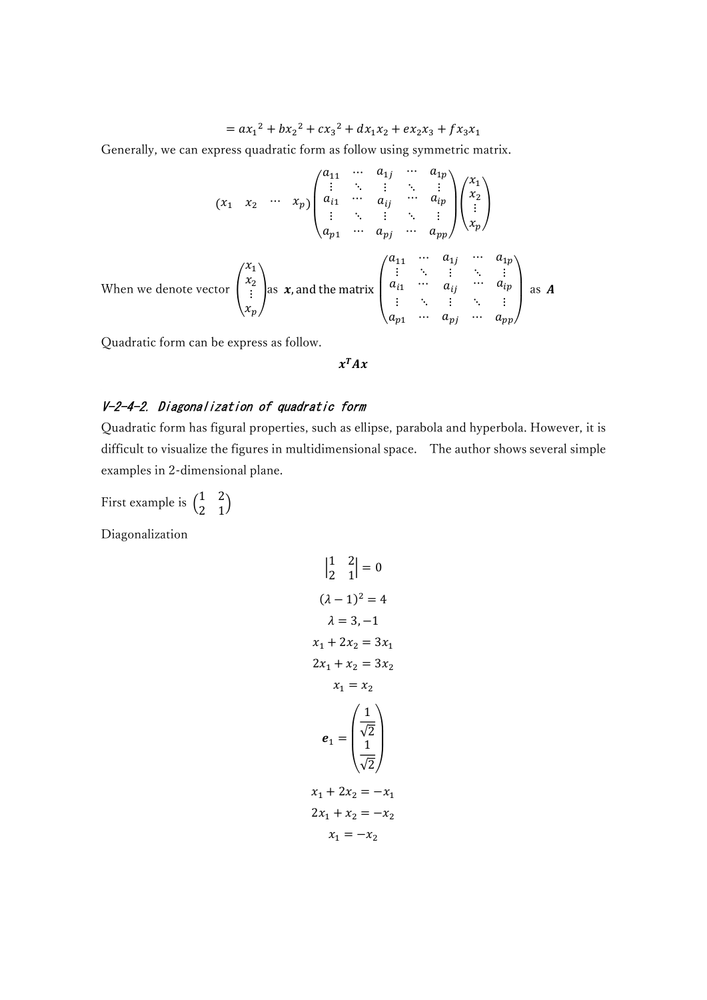$$
= ax_1^2 + bx_2^2 + cx_3^2 + dx_1x_2 + ex_2x_3 + fx_3x_1
$$

Generally, we can express quadratic form as follow using symmetric matrix.

$$
(x_1 \quad x_2 \quad \cdots \quad x_p) \begin{pmatrix} a_{11} & \cdots & a_{1j} & \cdots & a_{1p} \\ \vdots & \ddots & \vdots & \ddots & \vdots \\ a_{i1} & \cdots & a_{ij} & \cdots & a_{ip} \\ \vdots & \ddots & \vdots & \ddots & \vdots \\ a_{p1} & \cdots & a_{pj} & \cdots & a_{pp} \end{pmatrix} \begin{pmatrix} x_1 \\ x_2 \\ \vdots \\ x_p \end{pmatrix}
$$

When we denote vector 
$$
\begin{pmatrix} x_1 \\ x_2 \\ \vdots \\ x_p \end{pmatrix}
$$
 as  $x$ , and the matrix  $\begin{pmatrix} a_{11} & \cdots & a_{1j} & a_{1p} \\ \vdots & \ddots & \vdots & \ddots & \vdots \\ a_{i1} & \cdots & a_{ij} & \cdots & a_{ip} \\ \vdots & \ddots & \vdots & \ddots & \vdots \\ a_{p1} & \cdots & a_{pj} & \cdots & a_{pp} \end{pmatrix}$  as  $A$ 

Quadratic form can be express as follow.

 $x^T A x$ 

## V-2-4-2. Diagonalization of quadratic form

Quadratic form has figural properties, such as ellipse, parabola and hyperbola. However, it is difficult to visualize the figures in multidimensional space. The author shows several simple examples in 2-dimensional plane.

First example is  $\begin{pmatrix} 1 & 2 \\ 2 & 1 \end{pmatrix}$  $\begin{pmatrix} 1 & 2 \\ 2 & 1 \end{pmatrix}$ 

Diagonalization

$$
\begin{vmatrix} 1 & 2 \\ 2 & 1 \end{vmatrix} = 0
$$
  
\n
$$
(\lambda - 1)^2 = 4
$$
  
\n
$$
\lambda = 3, -1
$$
  
\n
$$
x_1 + 2x_2 = 3x_1
$$
  
\n
$$
2x_1 + x_2 = 3x_2
$$
  
\n
$$
x_1 = x_2
$$
  
\n
$$
e_1 = \begin{pmatrix} \frac{1}{\sqrt{2}} \\ \frac{1}{\sqrt{2}} \end{pmatrix}
$$
  
\n
$$
x_1 + 2x_2 = -x_1
$$
  
\n
$$
2x_1 + x_2 = -x_2
$$
  
\n
$$
x_1 = -x_2
$$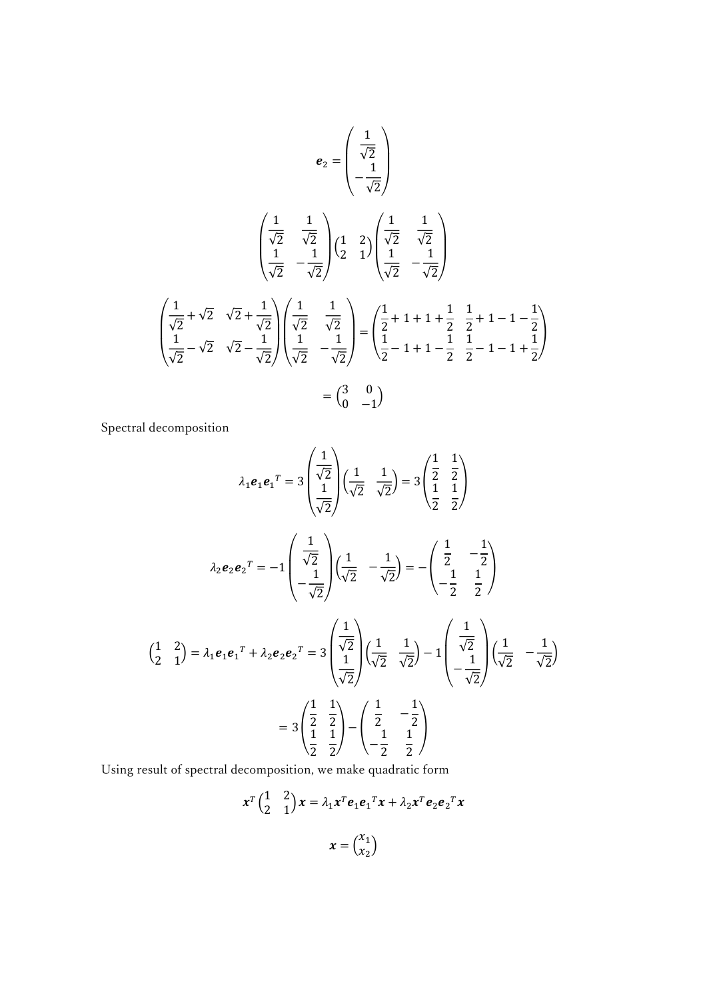$$
e_2 = \begin{pmatrix} \frac{1}{\sqrt{2}} \\ \frac{1}{\sqrt{2}} \\ -\frac{1}{\sqrt{2}} \end{pmatrix}
$$

$$
e_2 = \begin{pmatrix} \frac{1}{\sqrt{2}} \\ \frac{1}{\sqrt{2}} \\ \frac{1}{\sqrt{2}} \end{pmatrix} \begin{pmatrix} \frac{1}{\sqrt{2}} \\ \frac{1}{\sqrt{2}} \\ \frac{1}{\sqrt{2}} \end{pmatrix} \begin{pmatrix} \frac{1}{\sqrt{2}} \\ \frac{1}{\sqrt{2}} \\ \frac{1}{\sqrt{2}} \end{pmatrix}
$$

$$
\begin{pmatrix} \frac{1}{\sqrt{2}} + \sqrt{2} & \sqrt{2} + \frac{1}{\sqrt{2}} \\ \frac{1}{\sqrt{2}} - \sqrt{2} & \sqrt{2} - \frac{1}{\sqrt{2}} \end{pmatrix} \begin{pmatrix} \frac{1}{\sqrt{2}} & \frac{1}{\sqrt{2}} \\ \frac{1}{\sqrt{2}} & -\frac{1}{\sqrt{2}} \end{pmatrix} = \begin{pmatrix} \frac{1}{2} + 1 + 1 + \frac{1}{2} & \frac{1}{2} + 1 - 1 - \frac{1}{2} \\ \frac{1}{2} - 1 + 1 - \frac{1}{2} & \frac{1}{2} - 1 - 1 + \frac{1}{2} \end{pmatrix}
$$

$$
= \begin{pmatrix} 3 & 0 \\ 0 & -1 \end{pmatrix}
$$

Spectral decomposition

$$
\lambda_1 e_1 e_1^T = 3 \begin{pmatrix} \frac{1}{\sqrt{2}} \\ \frac{1}{\sqrt{2}} \end{pmatrix} \left( \frac{1}{\sqrt{2}} - \frac{1}{\sqrt{2}} \right) = 3 \begin{pmatrix} \frac{1}{2} & \frac{1}{2} \\ \frac{1}{2} & \frac{1}{2} \end{pmatrix}
$$

$$
\lambda_2 e_2 e_2^T = -1 \begin{pmatrix} \frac{1}{\sqrt{2}} \\ -\frac{1}{\sqrt{2}} \end{pmatrix} \left( \frac{1}{\sqrt{2}} - \frac{1}{\sqrt{2}} \right) = -\begin{pmatrix} \frac{1}{2} & -\frac{1}{2} \\ -\frac{1}{2} & \frac{1}{2} \end{pmatrix}
$$

$$
\begin{pmatrix} \frac{1}{2} & \frac{2}{2} \\ \frac{1}{2} & \frac{1}{2} \end{pmatrix} = \lambda_1 e_1 e_1^T + \lambda_2 e_2 e_2^T = 3 \begin{pmatrix} \frac{1}{\sqrt{2}} \\ \frac{1}{\sqrt{2}} \end{pmatrix} \left( \frac{1}{\sqrt{2}} - \frac{1}{\sqrt{2}} \right) = 3 \begin{pmatrix} \frac{1}{\sqrt{2}} & \frac{1}{\sqrt{2}} \\ \frac{1}{\sqrt{2}} & \frac{1}{\sqrt{2}} \end{pmatrix} - \begin{pmatrix} \frac{1}{\sqrt{2}} & \frac{1}{\sqrt{2}} \\ -\frac{1}{\sqrt{2}} & \frac{1}{2} \end{pmatrix}
$$

Using result of spectral decomposition, we make quadratic form

$$
x^{T} \begin{pmatrix} 1 & 2 \\ 2 & 1 \end{pmatrix} x = \lambda_1 x^{T} e_1 e_1^{T} x + \lambda_2 x^{T} e_2 e_2^{T} x
$$

$$
x = \begin{pmatrix} x_1 \\ x_2 \end{pmatrix}
$$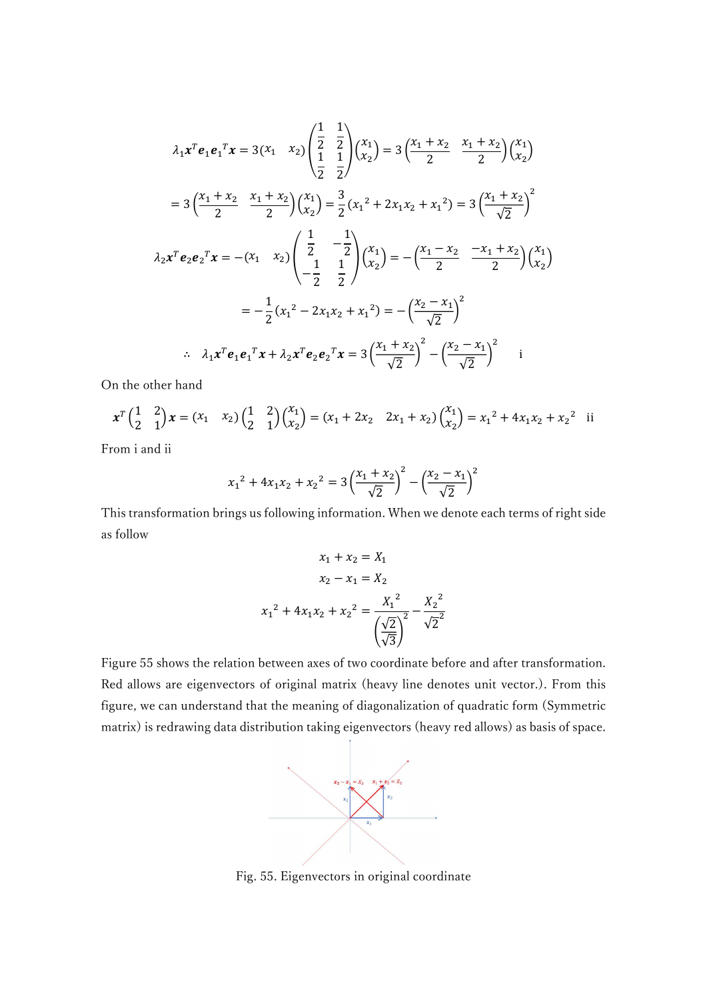$$
\lambda_1 x^T e_1 e_1^T x = 3(x_1 \ x_2) \begin{pmatrix} \frac{1}{2} & \frac{1}{2} \\ \frac{1}{2} & \frac{1}{2} \end{pmatrix} \begin{pmatrix} x_1 \\ x_2 \end{pmatrix} = 3 \left( \frac{x_1 + x_2}{2} \frac{x_1 + x_2}{2} \right) \begin{pmatrix} x_1 \\ x_2 \end{pmatrix}
$$

$$
= 3 \left( \frac{x_1 + x_2}{2} \frac{x_1 + x_2}{2} \right) \begin{pmatrix} x_1 \\ x_2 \end{pmatrix} = \frac{3}{2} (x_1^2 + 2x_1x_2 + x_1^2) = 3 \left( \frac{x_1 + x_2}{\sqrt{2}} \right)^2
$$

$$
\lambda_2 x^T e_2 e_2^T x = -(x_1 \ x_2) \begin{pmatrix} \frac{1}{2} & -\frac{1}{2} \\ -\frac{1}{2} & \frac{1}{2} \end{pmatrix} \begin{pmatrix} x_1 \\ x_2 \end{pmatrix} = - \left( \frac{x_1 - x_2}{2} \frac{-x_1 + x_2}{2} \right) \begin{pmatrix} x_1 \\ x_2 \end{pmatrix}
$$

$$
= -\frac{1}{2} (x_1^2 - 2x_1x_2 + x_1^2) = - \left( \frac{x_2 - x_1}{\sqrt{2}} \right)^2
$$

$$
\therefore \ \lambda_1 x^T e_1 e_1^T x + \lambda_2 x^T e_2 e_2^T x = 3 \left( \frac{x_1 + x_2}{\sqrt{2}} \right)^2 - \left( \frac{x_2 - x_1}{\sqrt{2}} \right)^2 \qquad i
$$

On the other hand

$$
x^T \begin{pmatrix} 1 & 2 \\ 2 & 1 \end{pmatrix} x = (x_1 \ x_2) \begin{pmatrix} 1 & 2 \\ 2 & 1 \end{pmatrix} \begin{pmatrix} x_1 \\ x_2 \end{pmatrix} = (x_1 + 2x_2 \ 2x_1 + x_2) \begin{pmatrix} x_1 \\ x_2 \end{pmatrix} = x_1^2 + 4x_1x_2 + x_2^2 \text{ ii}
$$

From i and ii

$$
x_1^2 + 4x_1x_2 + x_2^2 = 3\left(\frac{x_1 + x_2}{\sqrt{2}}\right)^2 - \left(\frac{x_2 - x_1}{\sqrt{2}}\right)^2
$$

This transformation brings us following information. When we denote each terms of right side as follow

$$
x_1 + x_2 = X_1
$$
  
\n
$$
x_2 - x_1 = X_2
$$
  
\n
$$
x_1^2 + 4x_1x_2 + x_2^2 = \frac{X_1^2}{\left(\frac{\sqrt{2}}{\sqrt{3}}\right)^2} - \frac{X_2^2}{\sqrt{2}^2}
$$

Figure 55 shows the relation between axes of two coordinate before and after transformation. Red allows are eigenvectors of original matrix (heavy line denotes unit vector.). From this figure, we can understand that the meaning of diagonalization of quadratic form (Symmetric matrix) is redrawing data distribution taking eigenvectors (heavy red allows) as basis of space.



Fig. 55. Eigenvectors in original coordinate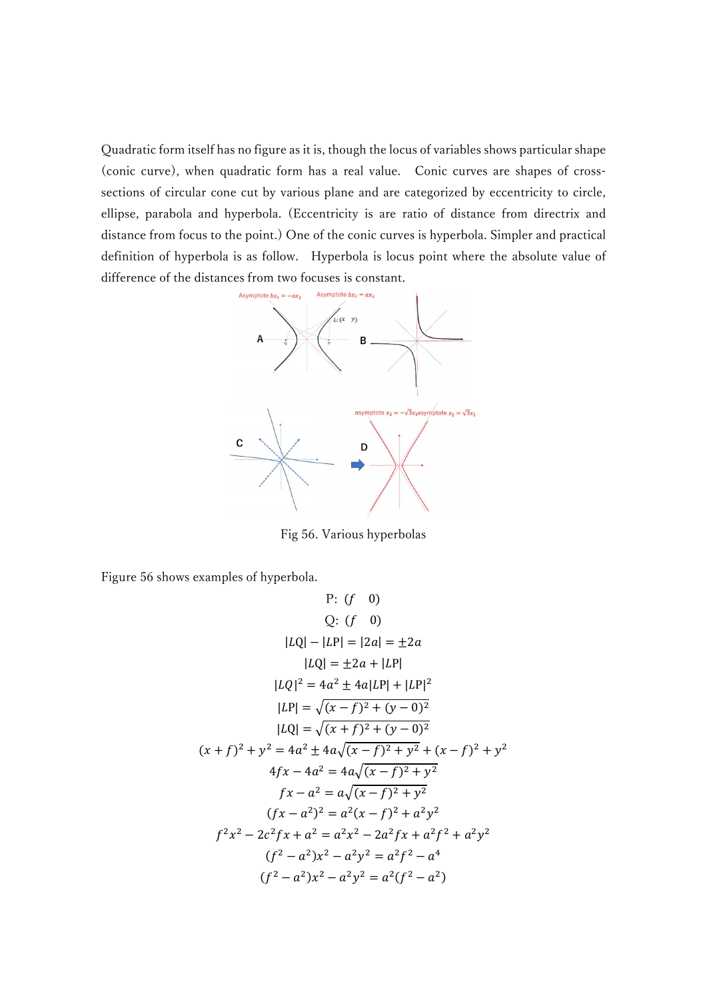Quadratic form itself has no figure as it is, though the locus of variables shows particular shape (conic curve), when quadratic form has a real value. Conic curves are shapes of crosssections of circular cone cut by various plane and are categorized by eccentricity to circle, ellipse, parabola and hyperbola. (Eccentricity is are ratio of distance from directrix and distance from focus to the point.) One of the conic curves is hyperbola. Simpler and practical definition of hyperbola is as follow. Hyperbola is locus point where the absolute value of difference of the distances from two focuses is constant.



Fig 56. Various hyperbolas

Figure 56 shows examples of hyperbola.

P: 
$$
(f \ 0)
$$
  
\nQ:  $(f \ 0)$   
\n $|LQ| - |LP| = |2a| = \pm 2a$   
\n $|LQ| = \pm 2a + |LP|$   
\n $|LQ|^2 = 4a^2 \pm 4a|LP| + |LP|^2$   
\n $|LP| = \sqrt{(x - f)^2 + (y - 0)^2}$   
\n $|LQ| = \sqrt{(x + f)^2 + (y - 0)^2}$   
\n $(x + f)^2 + y^2 = 4a^2 \pm 4a\sqrt{(x - f)^2 + y^2} + (x - f)^2 + y^2$   
\n $4fx - 4a^2 = 4a\sqrt{(x - f)^2 + y^2}$   
\n $fx - a^2 = a\sqrt{(x - f)^2 + y^2}$   
\n $(fx - a^2)^2 = a^2(x - f)^2 + a^2y^2$   
\n $f^2x^2 - 2c^2fx + a^2 = a^2x^2 - 2a^2fx + a^2f^2 + a^2y^2$   
\n $(f^2 - a^2)x^2 - a^2y^2 = a^2f^2 - a^4$   
\n $(f^2 - a^2)x^2 - a^2y^2 = a^2(f^2 - a^2)$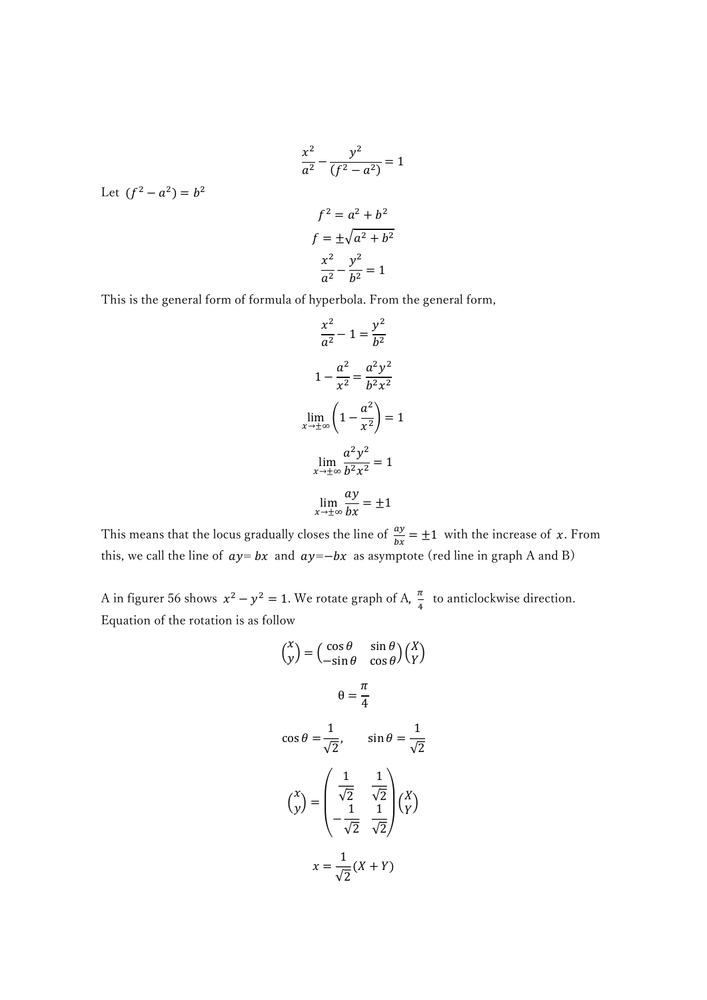$$
\frac{x^2}{a^2} - \frac{y^2}{(f^2 - a^2)} = 1
$$
  
(f<sup>2</sup> - a<sup>2</sup>) = b<sup>2</sup>  

$$
f^2 = a^2 + b^2
$$
  

$$
f = \pm \sqrt{a^2 + b^2}
$$
  

$$
\frac{x^2}{a^2} - \frac{y^2}{b^2} = 1
$$

Let

This is the general form of formula of hyperbola. From the general form,

$$
\frac{x^2}{a^2} - 1 = \frac{y^2}{b^2}
$$

$$
1 - \frac{a^2}{x^2} = \frac{a^2 y^2}{b^2 x^2}
$$

$$
\lim_{x \to \pm \infty} \left( 1 - \frac{a^2}{x^2} \right) = 1
$$

$$
\lim_{x \to \pm \infty} \frac{a^2 y^2}{b^2 x^2} = 1
$$

$$
\lim_{x \to \pm \infty} \frac{ay}{bx} = \pm 1
$$

This means that the locus gradually closes the line of  $\frac{dy}{dx} = \pm 1$  with the increase of x. From this, we call the line of  $ay = bx$  and  $ay = -bx$  as asymptote (red line in graph A and B)

A in figurer 56 shows  $x^2 - y^2 = 1$ . We rotate graph of A,  $\frac{\pi}{4}$  $\frac{\pi}{4}$  to anticlockwise direction. Equation of the rotation is as follow

$$
\begin{pmatrix} x \\ y \end{pmatrix} = \begin{pmatrix} \cos \theta & \sin \theta \\ -\sin \theta & \cos \theta \end{pmatrix} \begin{pmatrix} X \\ Y \end{pmatrix}
$$

$$
\theta = \frac{\pi}{4}
$$

$$
\cos \theta = \frac{1}{\sqrt{2}}, \qquad \sin \theta = \frac{1}{\sqrt{2}}
$$

$$
\begin{pmatrix} x \\ y \end{pmatrix} = \begin{pmatrix} \frac{1}{\sqrt{2}} & \frac{1}{\sqrt{2}} \\ -\frac{1}{\sqrt{2}} & \frac{1}{\sqrt{2}} \end{pmatrix} \begin{pmatrix} X \\ Y \end{pmatrix}
$$

$$
x = \frac{1}{\sqrt{2}} (X + Y)
$$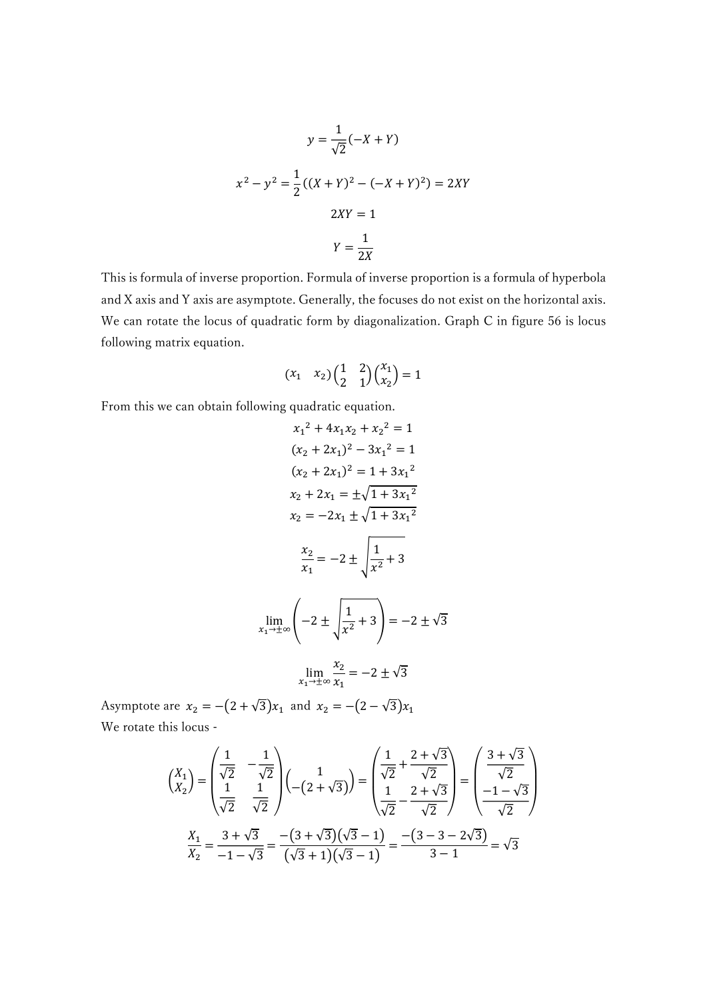$$
y = \frac{1}{\sqrt{2}}(-X + Y)
$$
  

$$
x^{2} - y^{2} = \frac{1}{2}((X + Y)^{2} - (-X + Y)^{2}) = 2XY
$$
  

$$
2XY = 1
$$
  

$$
Y = \frac{1}{2X}
$$

This is formula of inverse proportion. Formula of inverse proportion is a formula of hyperbola and X axis and Y axis are asymptote. Generally, the focuses do not exist on the horizontal axis. We can rotate the locus of quadratic form by diagonalization. Graph C in figure 56 is locus following matrix equation.

$$
\begin{pmatrix} x_1 & x_2 \end{pmatrix} \begin{pmatrix} 1 & 2 \\ 2 & 1 \end{pmatrix} \begin{pmatrix} x_1 \\ x_2 \end{pmatrix} = 1
$$

From this we can obtain following quadratic equation.

$$
x_1^2 + 4x_1x_2 + x_2^2 = 1
$$
  
\n
$$
(x_2 + 2x_1)^2 - 3x_1^2 = 1
$$
  
\n
$$
(x_2 + 2x_1)^2 = 1 + 3x_1^2
$$
  
\n
$$
x_2 + 2x_1 = \pm\sqrt{1 + 3x_1^2}
$$
  
\n
$$
x_2 = -2x_1 \pm \sqrt{1 + 3x_1^2}
$$
  
\n
$$
\frac{x_2}{x_1} = -2 \pm \sqrt{\frac{1}{x^2} + 3}
$$
  
\n
$$
\lim_{x_1 \to \pm \infty} \left(-2 \pm \sqrt{\frac{1}{x^2} + 3}\right) = -2 \pm \sqrt{3}
$$
  
\n
$$
\lim_{x_1 \to \pm \infty} \frac{x_2}{x_1} = -2 \pm \sqrt{3}
$$

Asymptote are  $x_2 = -(2 + \sqrt{3})x_1$  and  $x_2 = -(2 - \sqrt{3})x_1$ We rotate this locus -

$$
\begin{pmatrix} X_1 \\ X_2 \end{pmatrix} = \begin{pmatrix} \frac{1}{\sqrt{2}} & -\frac{1}{\sqrt{2}} \\ \frac{1}{\sqrt{2}} & \frac{1}{\sqrt{2}} \end{pmatrix} \begin{pmatrix} 1 \\ -(2+\sqrt{3}) \end{pmatrix} = \begin{pmatrix} \frac{1}{\sqrt{2}} + \frac{2+\sqrt{3}}{\sqrt{2}} \\ \frac{1}{\sqrt{2}} - \frac{2+\sqrt{3}}{\sqrt{2}} \end{pmatrix} = \begin{pmatrix} \frac{3+\sqrt{3}}{\sqrt{2}} \\ \frac{-1-\sqrt{3}}{\sqrt{2}} \end{pmatrix}
$$

$$
\frac{X_1}{X_2} = \frac{3+\sqrt{3}}{-1-\sqrt{3}} = \frac{-(3+\sqrt{3})(\sqrt{3}-1)}{(\sqrt{3}+1)(\sqrt{3}-1)} = \frac{-(3-3-2\sqrt{3})}{3-1} = \sqrt{3}
$$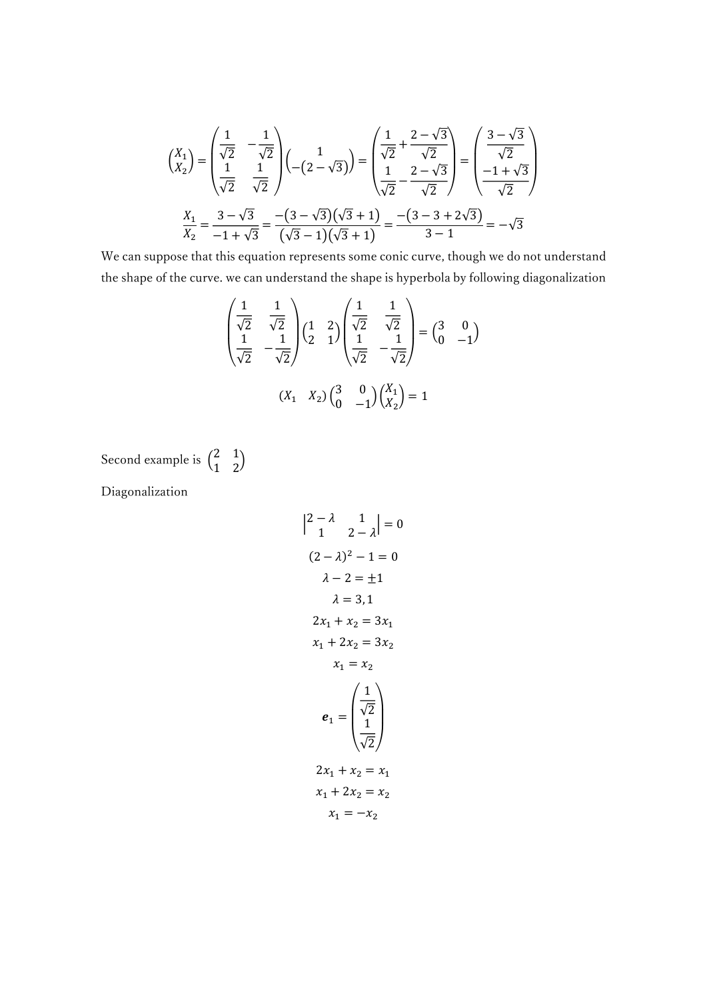$$
\begin{pmatrix} X_1 \\ X_2 \end{pmatrix} = \begin{pmatrix} \frac{1}{\sqrt{2}} & -\frac{1}{\sqrt{2}} \\ \frac{1}{\sqrt{2}} & \frac{1}{\sqrt{2}} \end{pmatrix} \begin{pmatrix} 1 \\ -(2-\sqrt{3}) \end{pmatrix} = \begin{pmatrix} \frac{1}{\sqrt{2}} + \frac{2-\sqrt{3}}{\sqrt{2}} \\ \frac{1}{\sqrt{2}} - \frac{2-\sqrt{3}}{\sqrt{2}} \end{pmatrix} = \begin{pmatrix} \frac{3-\sqrt{3}}{\sqrt{2}} \\ \frac{-1+\sqrt{3}}{\sqrt{2}} \end{pmatrix}
$$

$$
\frac{X_1}{X_2} = \frac{3-\sqrt{3}}{-1+\sqrt{3}} = \frac{-(3-\sqrt{3})(\sqrt{3}+1)}{(\sqrt{3}-1)(\sqrt{3}+1)} = \frac{-(3-3+2\sqrt{3})}{3-1} = -\sqrt{3}
$$

We can suppose that this equation represents some conic curve, though we do not understand the shape of the curve. we can understand the shape is hyperbola by following diagonalization

$$
\begin{pmatrix}\n\frac{1}{\sqrt{2}} & \frac{1}{\sqrt{2}} \\
\frac{1}{\sqrt{2}} & -\frac{1}{\sqrt{2}}\n\end{pmatrix}\n\begin{pmatrix}\n1 & 2 \\
2 & 1\n\end{pmatrix}\n\begin{pmatrix}\n\frac{1}{\sqrt{2}} & \frac{1}{\sqrt{2}} \\
\frac{1}{\sqrt{2}} & -\frac{1}{\sqrt{2}}\n\end{pmatrix} =\n\begin{pmatrix}\n3 & 0 \\
0 & -1\n\end{pmatrix}
$$
\n
$$
(X_1 \quad X_2)\n\begin{pmatrix}\n3 & 0 \\
0 & -1\n\end{pmatrix}\n\begin{pmatrix}\nX_1 \\
X_2\n\end{pmatrix} = 1
$$

Second example is  $\begin{pmatrix} 2 & 1 \\ 1 & 2 \end{pmatrix}$  $\begin{pmatrix} 2 & 1 \\ 1 & 2 \end{pmatrix}$ 

Diagonalization

$$
\begin{vmatrix} 2 - \lambda & 1 \\ 1 & 2 - \lambda \end{vmatrix} = 0
$$
\n
$$
(2 - \lambda)^2 - 1 = 0
$$
\n
$$
\lambda - 2 = \pm 1
$$
\n
$$
\lambda = 3, 1
$$
\n
$$
2x_1 + x_2 = 3x_1
$$
\n
$$
x_1 + 2x_2 = 3x_2
$$
\n
$$
x_1 = x_2
$$
\n
$$
e_1 = \begin{pmatrix} \frac{1}{\sqrt{2}} \\ \frac{1}{\sqrt{2}} \end{pmatrix}
$$
\n
$$
2x_1 + x_2 = x_1
$$
\n
$$
x_1 + 2x_2 = x_2
$$
\n
$$
x_1 = -x_2
$$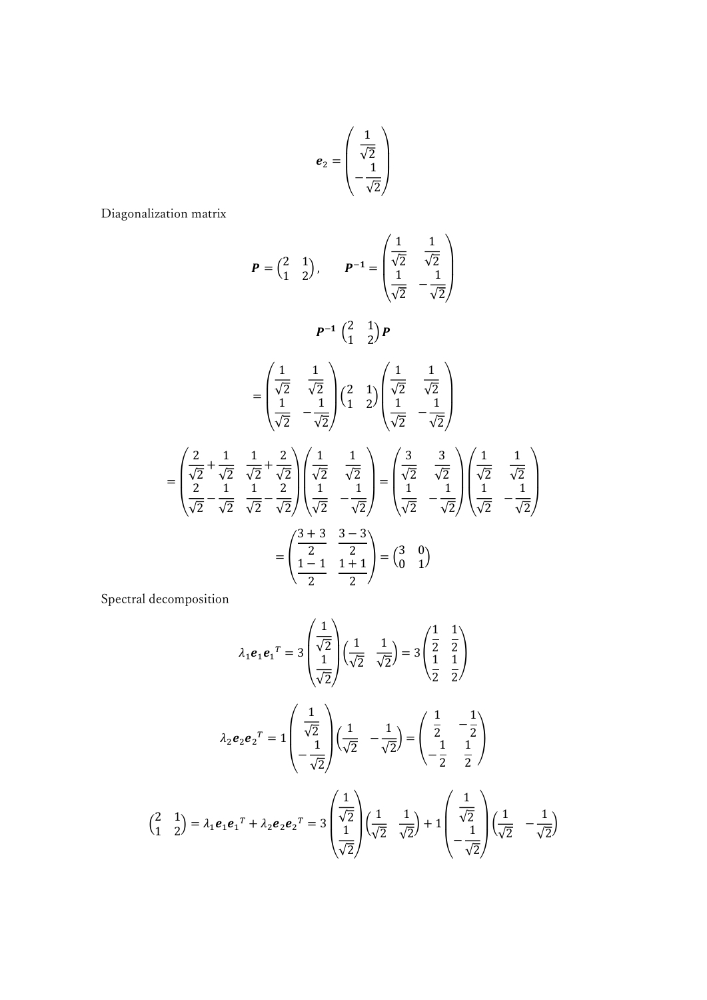$$
\boldsymbol{e}_2 = \begin{pmatrix} \frac{1}{\sqrt{2}} \\ -\frac{1}{\sqrt{2}} \end{pmatrix}
$$

Diagonalization matrix

$$
P = \begin{pmatrix} 2 & 1 \\ 1 & 2 \end{pmatrix}, \qquad P^{-1} = \begin{pmatrix} \frac{1}{\sqrt{2}} & \frac{1}{\sqrt{2}} \\ \frac{1}{\sqrt{2}} & -\frac{1}{\sqrt{2}} \end{pmatrix}
$$

$$
P^{-1} \begin{pmatrix} 2 & 1 \\ 1 & 2 \end{pmatrix} P
$$

$$
= \begin{pmatrix} \frac{1}{\sqrt{2}} & \frac{1}{\sqrt{2}} \\ \frac{1}{\sqrt{2}} & -\frac{1}{\sqrt{2}} \end{pmatrix} \begin{pmatrix} 2 & 1 \\ 1 & 2 \end{pmatrix} \begin{pmatrix} \frac{1}{\sqrt{2}} & \frac{1}{\sqrt{2}} \\ \frac{1}{\sqrt{2}} & -\frac{1}{\sqrt{2}} \end{pmatrix}
$$

$$
= \begin{pmatrix} \frac{2}{\sqrt{2}} + \frac{1}{\sqrt{2}} & \frac{1}{\sqrt{2}} \\ \frac{2}{\sqrt{2}} - \frac{1}{\sqrt{2}} & \frac{1}{\sqrt{2}} \end{pmatrix} \begin{pmatrix} \frac{1}{\sqrt{2}} & \frac{1}{\sqrt{2}} \\ \frac{1}{\sqrt{2}} & -\frac{1}{\sqrt{2}} \end{pmatrix} = \begin{pmatrix} \frac{3}{\sqrt{2}} & \frac{3}{\sqrt{2}} \\ \frac{1}{\sqrt{2}} & -\frac{1}{\sqrt{2}} \end{pmatrix} \begin{pmatrix} \frac{1}{\sqrt{2}} & \frac{1}{\sqrt{2}} \\ \frac{1}{\sqrt{2}} & -\frac{1}{\sqrt{2}} \end{pmatrix}
$$

$$
= \begin{pmatrix} \frac{3+3}{2} & \frac{3-3}{2} \\ \frac{1-1}{2} & \frac{1+1}{2} \end{pmatrix} = \begin{pmatrix} 3 & 0 \\ 0 & 1 \end{pmatrix}
$$

Spectral decomposition

$$
\lambda_1 e_1 e_1^T = 3 \begin{pmatrix} \frac{1}{\sqrt{2}} \\ \frac{1}{\sqrt{2}} \end{pmatrix} \left( \frac{1}{\sqrt{2}} - \frac{1}{\sqrt{2}} \right) = 3 \begin{pmatrix} \frac{1}{2} & \frac{1}{2} \\ \frac{1}{2} & \frac{1}{2} \end{pmatrix}
$$

$$
\lambda_2 e_2 e_2^T = 1 \begin{pmatrix} \frac{1}{\sqrt{2}} \\ -\frac{1}{\sqrt{2}} \end{pmatrix} \left( \frac{1}{\sqrt{2}} - \frac{1}{\sqrt{2}} \right) = \begin{pmatrix} \frac{1}{2} & -\frac{1}{2} \\ -\frac{1}{2} & \frac{1}{2} \end{pmatrix}
$$

$$
\begin{pmatrix} 2 & 1 \\ 1 & 2 \end{pmatrix} = \lambda_1 e_1 e_1^T + \lambda_2 e_2 e_2^T = 3 \begin{pmatrix} \frac{1}{\sqrt{2}} \\ \frac{1}{\sqrt{2}} \end{pmatrix} \left( \frac{1}{\sqrt{2}} - \frac{1}{\sqrt{2}} \right) + 1 \begin{pmatrix} \frac{1}{\sqrt{2}} \\ -\frac{1}{\sqrt{2}} \end{pmatrix} \left( \frac{1}{\sqrt{2}} - \frac{1}{\sqrt{2}} \right)
$$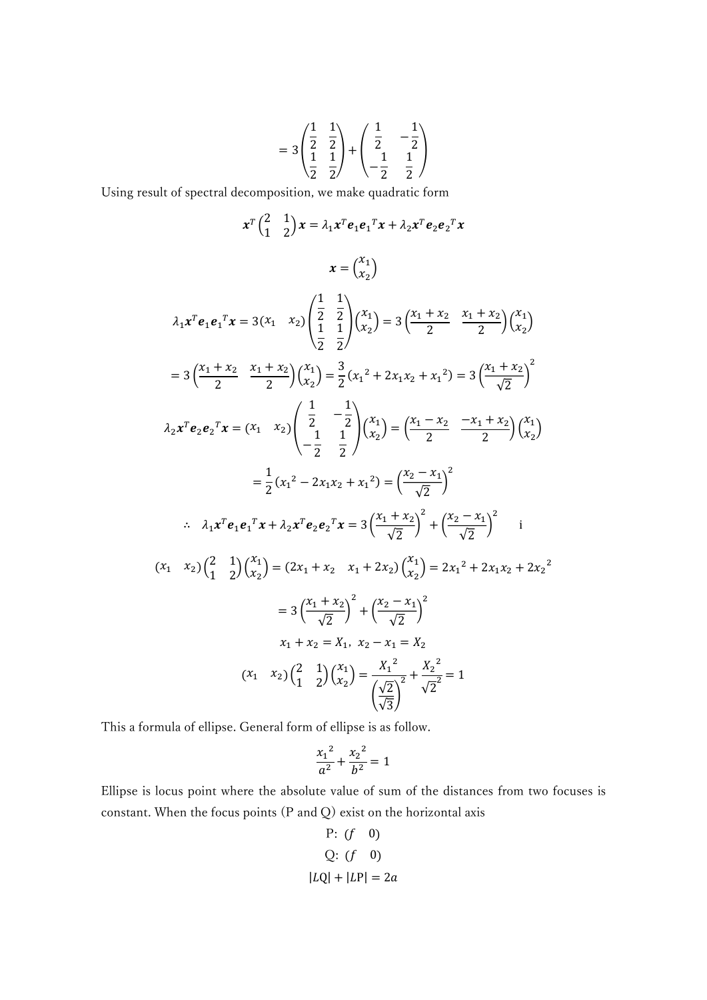$$
= 3\begin{pmatrix} \frac{1}{2} & \frac{1}{2} \\ \frac{1}{2} & \frac{1}{2} \end{pmatrix} + \begin{pmatrix} \frac{1}{2} & -\frac{1}{2} \\ \frac{1}{2} & \frac{1}{2} \end{pmatrix}
$$

Using result of spectral decomposition, we make quadratic form

$$
x^{T} {2 \choose 1} x = \lambda_{1} x^{T} e_{1} e_{1}^{T} x + \lambda_{2} x^{T} e_{2} e_{2}^{T} x
$$
  
\n
$$
x = {x_{1} \choose x_{2}}
$$
  
\n
$$
\lambda_{1} x^{T} e_{1} e_{1}^{T} x = 3(x_{1} \quad x_{2}) \left( \frac{1}{2} \quad \frac{1}{2} \right) {x_{1} \choose x_{2}} = 3 \left( \frac{x_{1} + x_{2}}{2} \quad \frac{x_{1} + x_{2}}{2} \right) {x_{1} \choose x_{2}}
$$
  
\n
$$
= 3 \left( \frac{x_{1} + x_{2}}{2} \quad \frac{x_{1} + x_{2}}{2} \right) {x_{1} \choose x_{2}} = \frac{3}{2} (x_{1}^{2} + 2x_{1}x_{2} + x_{1}^{2}) = 3 \left( \frac{x_{1} + x_{2}}{\sqrt{2}} \right)^{2}
$$
  
\n
$$
\lambda_{2} x^{T} e_{2} e_{2}^{T} x = (x_{1} \quad x_{2}) \left( \frac{1}{2} \quad -\frac{1}{2} \right) {x_{1} \choose x_{2}} = \left( \frac{x_{1} - x_{2}}{2} \quad \frac{-x_{1} + x_{2}}{2} \right) {x_{2} \choose x_{2}}
$$
  
\n
$$
= \frac{1}{2} (x_{1}^{2} - 2x_{1}x_{2} + x_{1}^{2}) = \left( \frac{x_{2} - x_{1}}{\sqrt{2}} \right)^{2}
$$
  
\n
$$
\therefore \quad \lambda_{1} x^{T} e_{1} e_{1}^{T} x + \lambda_{2} x^{T} e_{2} e_{2}^{T} x = 3 \left( \frac{x_{1} + x_{2}}{\sqrt{2}} \right)^{2} + \left( \frac{x_{2} - x_{1}}{\sqrt{2}} \right)^{2}
$$
  
\n
$$
(x_{1} \quad x_{2}) \left( \frac{2}{1} \quad \frac{1}{2} \right) {x_{1} \choose x_{2}} = (2x_{1} + x_{2} \quad x_{1} + 2x_{2}) {x_{1} \choose x_{2}} = 2x_{1}^{2} + 2x_{1}x_{2} + 2x_{2
$$

This a formula of ellipse. General form of ellipse is as follow.

$$
\frac{x_1^2}{a^2} + \frac{x_2^2}{b^2} = 1
$$

Ellipse is locus point where the absolute value of sum of the distances from two focuses is constant. When the focus points (P and Q) exist on the horizontal axis

P: 
$$
(f \quad 0)
$$
  
Q:  $(f \quad 0)$   
 $|LQ| + |LP| = 2a$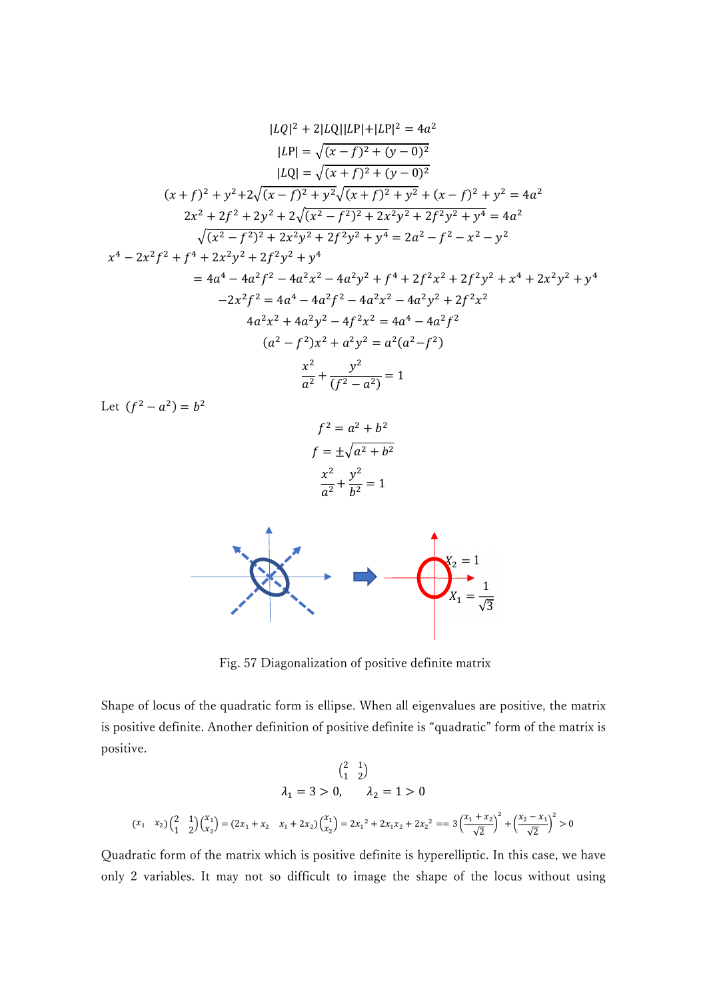$$
|LQ|^2 + 2|LQ||LP| + |LP|^2 = 4a^2
$$
  
\n
$$
|LP| = \sqrt{(x - f)^2 + (y - 0)^2}
$$
  
\n
$$
|LQ| = \sqrt{(x + f)^2 + (y - 0)^2}
$$
  
\n
$$
(x + f)^2 + y^2 + 2\sqrt{(x - f)^2 + y^2}\sqrt{(x + f)^2 + y^2} + (x - f)^2 + y^2 = 4a^2
$$
  
\n
$$
2x^2 + 2f^2 + 2y^2 + 2\sqrt{(x^2 - f^2)^2 + 2x^2y^2 + 2f^2y^2} + y^4 = 4a^2
$$
  
\n
$$
\sqrt{(x^2 - f^2)^2 + 2x^2y^2 + 2f^2y^2 + y^4} = 2a^2 - f^2 - x^2 - y^2
$$
  
\n
$$
x^4 - 2x^2f^2 + f^4 + 2x^2y^2 + 2f^2y^2 + y^4
$$
  
\n
$$
= 4a^4 - 4a^2f^2 - 4a^2x^2 - 4a^2y^2 + f^4 + 2f^2x^2 + 2f^2y^2 + x^4 + 2x^2y^2 + y^4
$$
  
\n
$$
-2x^2f^2 = 4a^4 - 4a^2f^2 - 4a^2x^2 - 4a^2y^2 + 2f^2x^2
$$
  
\n
$$
4a^2x^2 + 4a^2y^2 - 4f^2x^2 = 4a^4 - 4a^2f^2
$$
  
\n
$$
(a^2 - f^2)x^2 + a^2y^2 = a^2(a^2 - f^2)
$$
  
\n
$$
\frac{x^2}{a^2} + \frac{y^2}{(f^2 - a^2)} = 1
$$

Let  $(f^2 - a^2) = b^2$ 

$$
f2 = a2 + b2
$$

$$
f = \pm \sqrt{a2 + b2}
$$

$$
\frac{x2}{a2} + \frac{y2}{b2} = 1
$$



Fig. 57 Diagonalization of positive definite matrix

Shape of locus of the quadratic form is ellipse. When all eigenvalues are positive, the matrix is positive definite. Another definition of positive definite is "quadratic" form of the matrix is positive.

$$
\begin{pmatrix} 2 & 1 \ 4 & 2 \end{pmatrix}
$$
  

$$
\lambda_1 = 3 > 0, \qquad \lambda_2 = 1 > 0
$$
  

$$
(x_1 \quad x_2) \begin{pmatrix} 2 & 1 \ 1 & 2 \end{pmatrix} \begin{pmatrix} x_1 \ x_2 \end{pmatrix} = (2x_1 + x_2 \quad x_1 + 2x_2) \begin{pmatrix} x_1 \ x_2 \end{pmatrix} = 2x_1^2 + 2x_1x_2 + 2x_2^2 = 3\left(\frac{x_1 + x_2}{\sqrt{2}}\right)^2 + \left(\frac{x_2 - x_1}{\sqrt{2}}\right)^2 > 0
$$

Quadratic form of the matrix which is positive definite is hyperelliptic. In this case, we have only 2 variables. It may not so difficult to image the shape of the locus without using